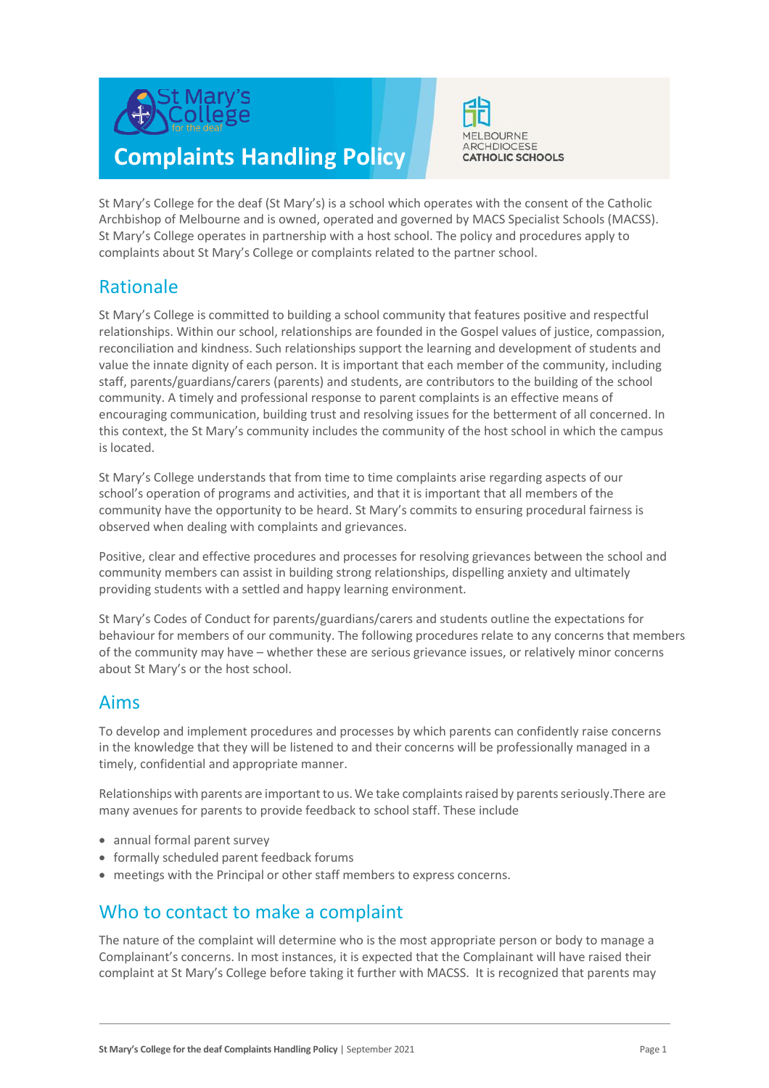

# **Complaints Handling Policy**



St Mary's College for the deaf (St Mary's) is a school which operates with the consent of the Catholic Archbishop of Melbourne and is owned, operated and governed by MACS Specialist Schools (MACSS). St Mary's College operates in partnership with a host school. The policy and procedures apply to complaints about St Mary's College or complaints related to the partner school.

## Rationale

St Mary's College is committed to building a school community that features positive and respectful relationships. Within our school, relationships are founded in the Gospel values of justice, compassion, reconciliation and kindness. Such relationships support the learning and development of students and value the innate dignity of each person. It is important that each member of the community, including staff, parents/guardians/carers (parents) and students, are contributors to the building of the school community. A timely and professional response to parent complaints is an effective means of encouraging communication, building trust and resolving issues for the betterment of all concerned. In this context, the St Mary's community includes the community of the host school in which the campus is located.

St Mary's College understands that from time to time complaints arise regarding aspects of our school's operation of programs and activities, and that it is important that all members of the community have the opportunity to be heard. St Mary's commits to ensuring procedural fairness is observed when dealing with complaints and grievances.

Positive, clear and effective procedures and processes for resolving grievances between the school and community members can assist in building strong relationships, dispelling anxiety and ultimately providing students with a settled and happy learning environment.

St Mary's Codes of Conduct for parents/guardians/carers and students outline the expectations for behaviour for members of our community. The following procedures relate to any concerns that members of the community may have – whether these are serious grievance issues, or relatively minor concerns about St Mary's or the host school.

## Aims

To develop and implement procedures and processes by which parents can confidently raise concerns in the knowledge that they will be listened to and their concerns will be professionally managed in a timely, confidential and appropriate manner.

Relationships with parents are important to us. We take complaints raised by parents seriously. There are many avenues for parents to provide feedback to school staff. These include

- annual formal parent survey
- formally scheduled parent feedback forums
- meetings with the Principal or other staff members to express concerns.

## Who to contact to make a complaint

The nature of the complaint will determine who is the most appropriate person or body to manage a Complainant's concerns. In most instances, it is expected that the Complainant will have raised their complaint at St Mary's College before taking it further with MACSS. It is recognized that parents may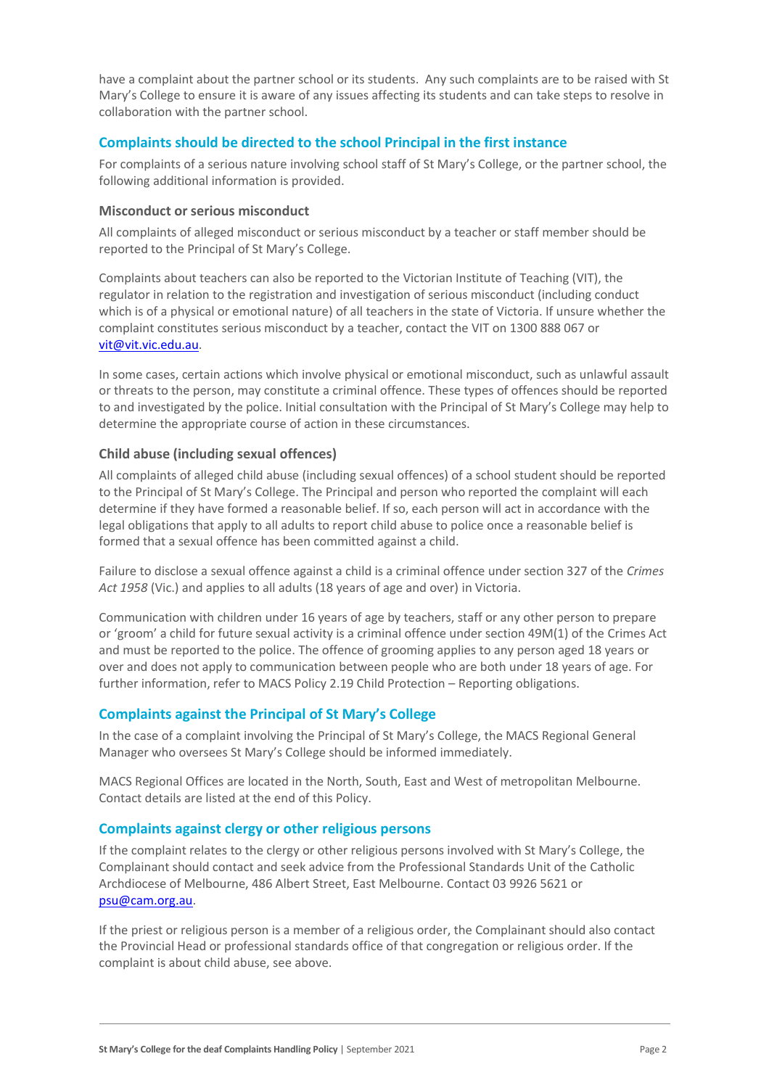have a complaint about the partner school or its students. Any such complaints are to be raised with St Mary's College to ensure it is aware of any issues affecting its students and can take steps to resolve in collaboration with the partner school.

#### **Complaints should be directed to the school Principal in the first instance**

For complaints of a serious nature involving school staff of St Mary's College, or the partner school, the following additional information is provided.

#### **Misconduct or serious misconduct**

All complaints of alleged misconduct or serious misconduct by a teacher or staff member should be reported to the Principal of St Mary's College.

Complaints about teachers can also be reported to the Victorian Institute of Teaching (VIT), the regulator in relation to the registration and investigation of serious misconduct (including conduct which is of a physical or emotional nature) of all teachers in the state of Victoria. If unsure whether the complaint constitutes serious misconduct by a teacher, contact the VIT on 1300 888 067 or [vit@vit.vic.edu.au.](mailto:vit@vit.vic.edu.au)

In some cases, certain actions which involve physical or emotional misconduct, such as unlawful assault or threats to the person, may constitute a criminal offence. These types of offences should be reported to and investigated by the police. Initial consultation with the Principal of St Mary's College may help to determine the appropriate course of action in these circumstances.

#### **Child abuse (including sexual offences)**

All complaints of alleged child abuse (including sexual offences) of a school student should be reported to the Principal of St Mary's College. The Principal and person who reported the complaint will each determine if they have formed a reasonable belief. If so, each person will act in accordance with the legal obligations that apply to all adults to report child abuse to police once a reasonable belief is formed that a sexual offence has been committed against a child.

Failure to disclose a sexual offence against a child is a criminal offence under section 327 of the *Crimes Act 1958* (Vic.) and applies to all adults (18 years of age and over) in Victoria.

Communication with children under 16 years of age by teachers, staff or any other person to prepare or 'groom' a child for future sexual activity is a criminal offence under section 49M(1) of the Crimes Act and must be reported to the police. The offence of grooming applies to any person aged 18 years or over and does not apply to communication between people who are both under 18 years of age. For further information, refer to MACS Policy 2.19 Child Protection – Reporting obligations.

#### **Complaints against the Principal of St Mary's College**

In the case of a complaint involving the Principal of St Mary's College, the MACS Regional General Manager who oversees St Mary's College should be informed immediately.

MACS Regional Offices are located in the North, South, East and West of metropolitan Melbourne. Contact details are listed at the end of this Policy.

#### **Complaints against clergy or other religious persons**

If the complaint relates to the clergy or other religious persons involved with St Mary's College, the Complainant should contact and seek advice from the Professional Standards Unit of the Catholic Archdiocese of Melbourne, 486 Albert Street, East Melbourne. Contact 03 9926 5621 or [psu@cam.org.au.](mailto:psu@cam.org.au)

If the priest or religious person is a member of a religious order, the Complainant should also contact the Provincial Head or professional standards office of that congregation or religious order. If the complaint is about child abuse, see above.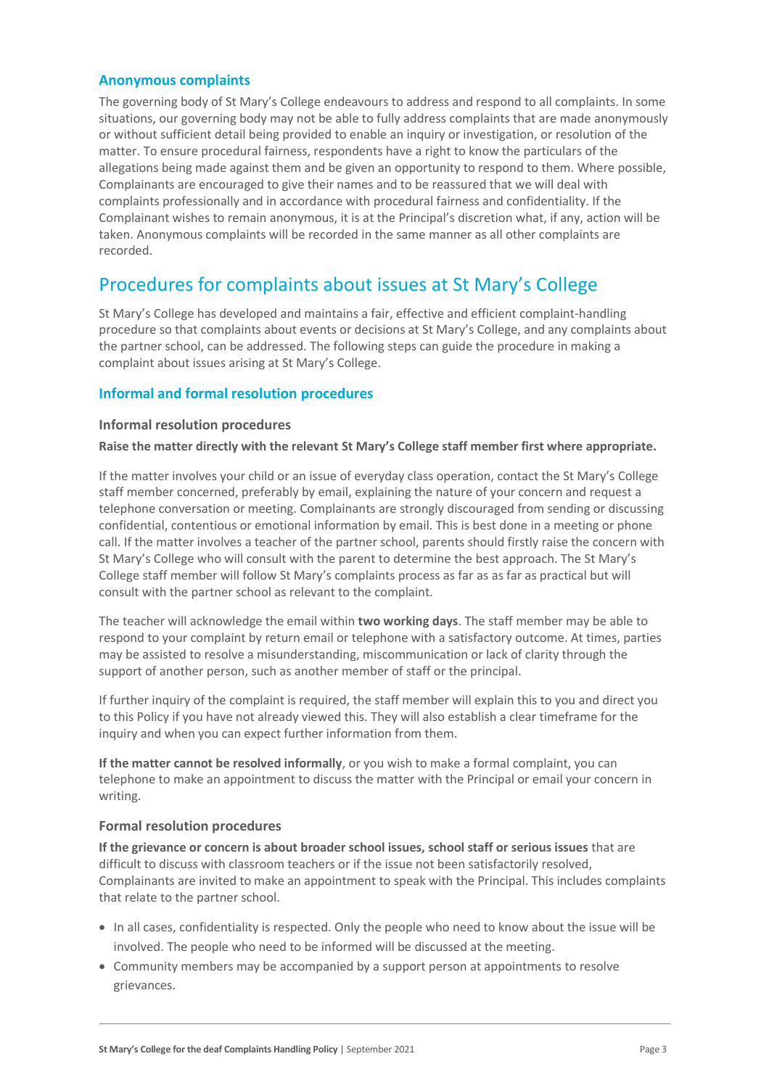#### **Anonymous complaints**

The governing body of St Mary's College endeavours to address and respond to all complaints. In some situations, our governing body may not be able to fully address complaints that are made anonymously or without sufficient detail being provided to enable an inquiry or investigation, or resolution of the matter. To ensure procedural fairness, respondents have a right to know the particulars of the allegations being made against them and be given an opportunity to respond to them. Where possible, Complainants are encouraged to give their names and to be reassured that we will deal with complaints professionally and in accordance with procedural fairness and confidentiality. If the Complainant wishes to remain anonymous, it is at the Principal's discretion what, if any, action will be taken. Anonymous complaints will be recorded in the same manner as all other complaints are recorded.

# Procedures for complaints about issues at St Mary's College

St Mary's College has developed and maintains a fair, effective and efficient complaint-handling procedure so that complaints about events or decisions at St Mary's College, and any complaints about the partner school, can be addressed. The following steps can guide the procedure in making a complaint about issues arising at St Mary's College.

#### **Informal and formal resolution procedures**

#### **Informal resolution procedures**

#### **Raise the matter directly with the relevant St Mary's College staff member first where appropriate.**

If the matter involves your child or an issue of everyday class operation, contact the St Mary's College staff member concerned, preferably by email, explaining the nature of your concern and request a telephone conversation or meeting. Complainants are strongly discouraged from sending or discussing confidential, contentious or emotional information by email. This is best done in a meeting or phone call. If the matter involves a teacher of the partner school, parents should firstly raise the concern with St Mary's College who will consult with the parent to determine the best approach. The St Mary's College staff member will follow St Mary's complaints process as far as as far as practical but will consult with the partner school as relevant to the complaint.

The teacher will acknowledge the email within **two working days**. The staff member may be able to respond to your complaint by return email or telephone with a satisfactory outcome. At times, parties may be assisted to resolve a misunderstanding, miscommunication or lack of clarity through the support of another person, such as another member of staff or the principal.

If further inquiry of the complaint is required, the staff member will explain this to you and direct you to this Policy if you have not already viewed this. They will also establish a clear timeframe for the inquiry and when you can expect further information from them.

**If the matter cannot be resolved informally**, or you wish to make a formal complaint, you can telephone to make an appointment to discuss the matter with the Principal or email your concern in writing.

#### **Formal resolution procedures**

**If the grievance or concern is about broader school issues, school staff or serious issues** that are difficult to discuss with classroom teachers or if the issue not been satisfactorily resolved, Complainants are invited to make an appointment to speak with the Principal. This includes complaints that relate to the partner school.

- In all cases, confidentiality is respected. Only the people who need to know about the issue will be involved. The people who need to be informed will be discussed at the meeting.
- Community members may be accompanied by a support person at appointments to resolve grievances.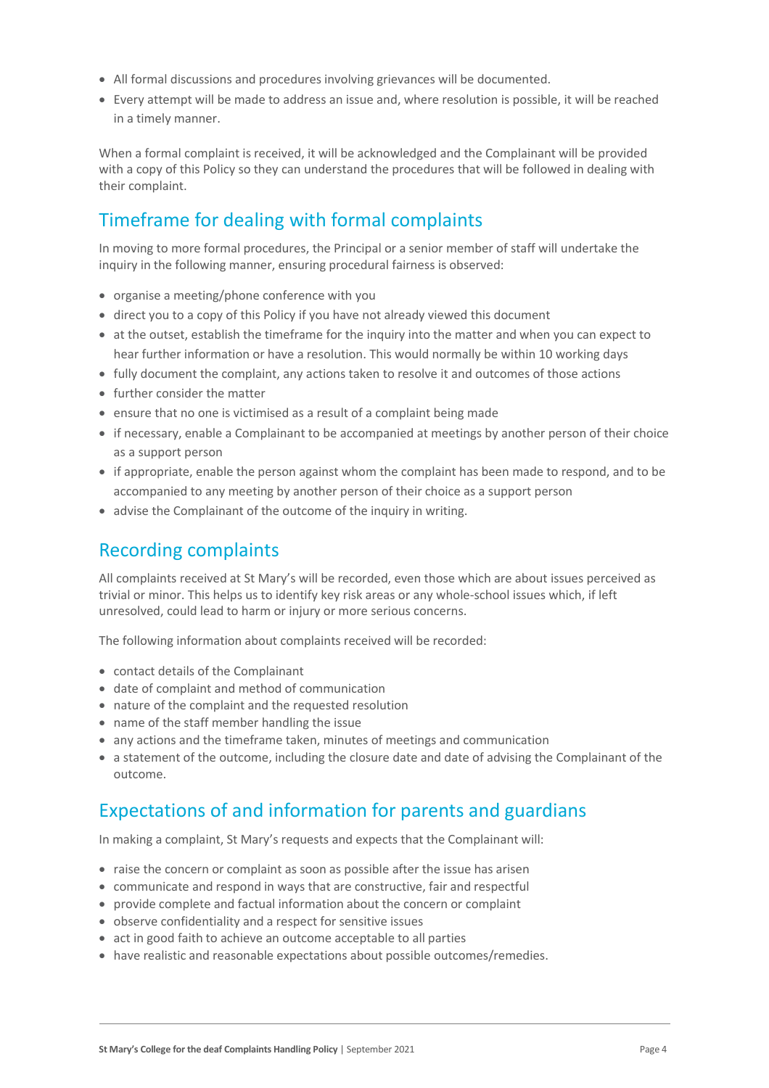- All formal discussions and procedures involving grievances will be documented.
- Every attempt will be made to address an issue and, where resolution is possible, it will be reached in a timely manner.

When a formal complaint is received, it will be acknowledged and the Complainant will be provided with a copy of this Policy so they can understand the procedures that will be followed in dealing with their complaint.

# Timeframe for dealing with formal complaints

In moving to more formal procedures, the Principal or a senior member of staff will undertake the inquiry in the following manner, ensuring procedural fairness is observed:

- organise a meeting/phone conference with you
- direct you to a copy of this Policy if you have not already viewed this document
- at the outset, establish the timeframe for the inquiry into the matter and when you can expect to hear further information or have a resolution. This would normally be within 10 working days
- fully document the complaint, any actions taken to resolve it and outcomes of those actions
- further consider the matter
- ensure that no one is victimised as a result of a complaint being made
- if necessary, enable a Complainant to be accompanied at meetings by another person of their choice as a support person
- if appropriate, enable the person against whom the complaint has been made to respond, and to be accompanied to any meeting by another person of their choice as a support person
- advise the Complainant of the outcome of the inquiry in writing.

### Recording complaints

All complaints received at St Mary's will be recorded, even those which are about issues perceived as trivial or minor. This helps us to identify key risk areas or any whole-school issues which, if left unresolved, could lead to harm or injury or more serious concerns.

The following information about complaints received will be recorded:

- contact details of the Complainant
- date of complaint and method of communication
- nature of the complaint and the requested resolution
- name of the staff member handling the issue
- any actions and the timeframe taken, minutes of meetings and communication
- a statement of the outcome, including the closure date and date of advising the Complainant of the outcome.

### Expectations of and information for parents and guardians

In making a complaint, St Mary's requests and expects that the Complainant will:

- raise the concern or complaint as soon as possible after the issue has arisen
- communicate and respond in ways that are constructive, fair and respectful
- provide complete and factual information about the concern or complaint
- observe confidentiality and a respect for sensitive issues
- act in good faith to achieve an outcome acceptable to all parties
- have realistic and reasonable expectations about possible outcomes/remedies.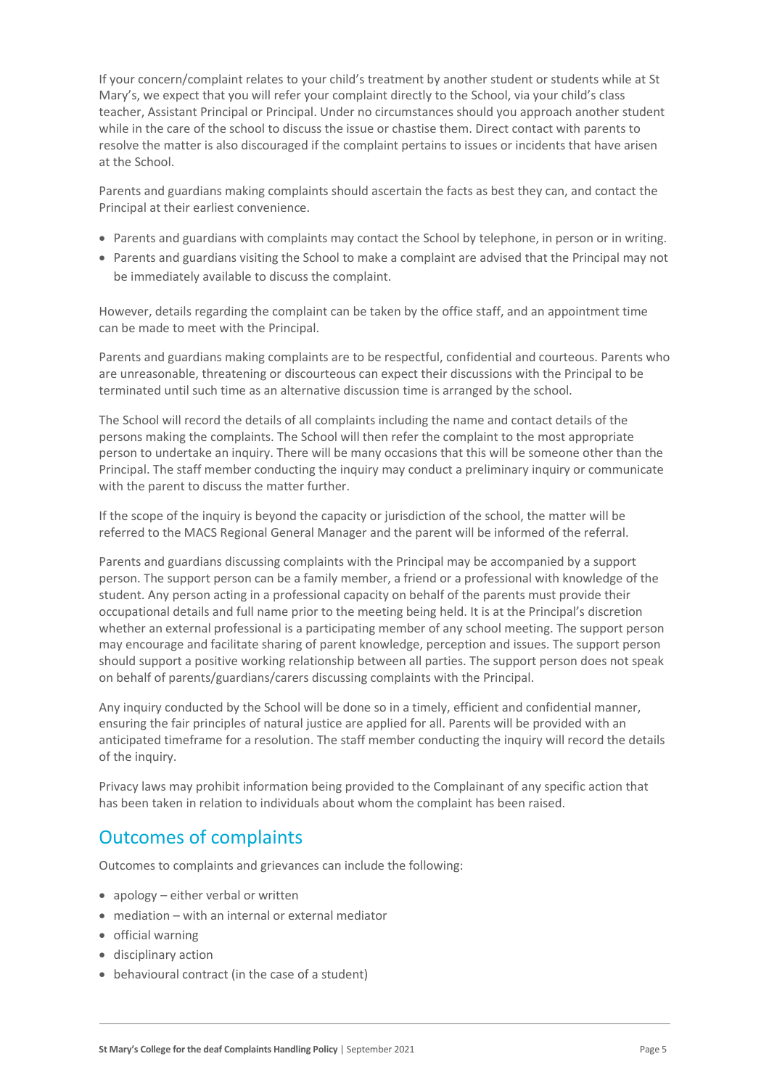If your concern/complaint relates to your child's treatment by another student or students while at St Mary's, we expect that you will refer your complaint directly to the School, via your child's class teacher, Assistant Principal or Principal. Under no circumstances should you approach another student while in the care of the school to discuss the issue or chastise them. Direct contact with parents to resolve the matter is also discouraged if the complaint pertains to issues or incidents that have arisen at the School.

Parents and guardians making complaints should ascertain the facts as best they can, and contact the Principal at their earliest convenience.

- Parents and guardians with complaints may contact the School by telephone, in person or in writing.
- Parents and guardians visiting the School to make a complaint are advised that the Principal may not be immediately available to discuss the complaint.

However, details regarding the complaint can be taken by the office staff, and an appointment time can be made to meet with the Principal.

Parents and guardians making complaints are to be respectful, confidential and courteous. Parents who are unreasonable, threatening or discourteous can expect their discussions with the Principal to be terminated until such time as an alternative discussion time is arranged by the school.

The School will record the details of all complaints including the name and contact details of the persons making the complaints. The School will then refer the complaint to the most appropriate person to undertake an inquiry. There will be many occasions that this will be someone other than the Principal. The staff member conducting the inquiry may conduct a preliminary inquiry or communicate with the parent to discuss the matter further.

If the scope of the inquiry is beyond the capacity or jurisdiction of the school, the matter will be referred to the MACS Regional General Manager and the parent will be informed of the referral.

Parents and guardians discussing complaints with the Principal may be accompanied by a support person. The support person can be a family member, a friend or a professional with knowledge of the student. Any person acting in a professional capacity on behalf of the parents must provide their occupational details and full name prior to the meeting being held. It is at the Principal's discretion whether an external professional is a participating member of any school meeting. The support person may encourage and facilitate sharing of parent knowledge, perception and issues. The support person should support a positive working relationship between all parties. The support person does not speak on behalf of parents/guardians/carers discussing complaints with the Principal.

Any inquiry conducted by the School will be done so in a timely, efficient and confidential manner, ensuring the fair principles of natural justice are applied for all. Parents will be provided with an anticipated timeframe for a resolution. The staff member conducting the inquiry will record the details of the inquiry.

Privacy laws may prohibit information being provided to the Complainant of any specific action that has been taken in relation to individuals about whom the complaint has been raised.

## Outcomes of complaints

Outcomes to complaints and grievances can include the following:

- apology either verbal or written
- mediation with an internal or external mediator
- official warning
- disciplinary action
- behavioural contract (in the case of a student)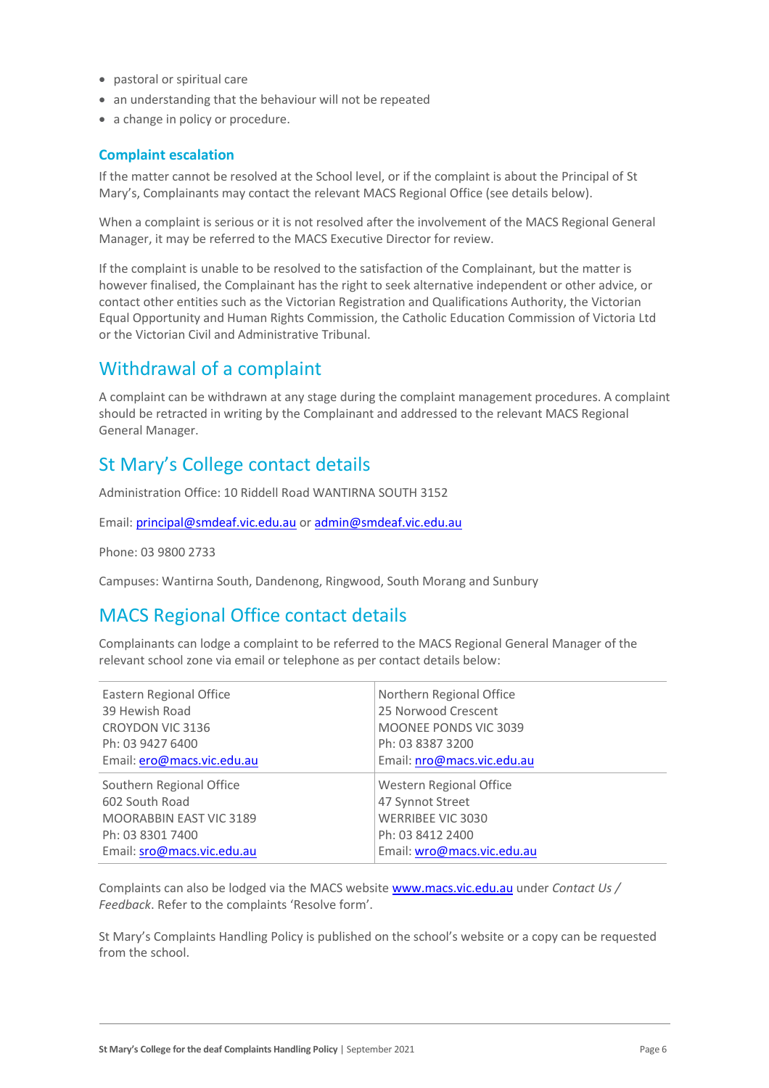- pastoral or spiritual care
- an understanding that the behaviour will not be repeated
- a change in policy or procedure.

#### **Complaint escalation**

If the matter cannot be resolved at the School level, or if the complaint is about the Principal of St Mary's, Complainants may contact the relevant MACS Regional Office (see details below).

When a complaint is serious or it is not resolved after the involvement of the MACS Regional General Manager, it may be referred to the MACS Executive Director for review.

If the complaint is unable to be resolved to the satisfaction of the Complainant, but the matter is however finalised, the Complainant has the right to seek alternative independent or other advice, or contact other entities such as the Victorian Registration and Qualifications Authority, the Victorian Equal Opportunity and Human Rights Commission, the Catholic Education Commission of Victoria Ltd or the Victorian Civil and Administrative Tribunal.

### Withdrawal of a complaint

A complaint can be withdrawn at any stage during the complaint management procedures. A complaint should be retracted in writing by the Complainant and addressed to the relevant MACS Regional General Manager.

## St Mary's College contact details

Administration Office: 10 Riddell Road WANTIRNA SOUTH 3152

Email: [principal@smdeaf.vic.edu.au](mailto:principal@smdeaf.vic.edu.au) or [admin@smdeaf.vic.edu.au](mailto:admin@smdeaf.vic.edu.au)

Phone: 03 9800 2733

Campuses: Wantirna South, Dandenong, Ringwood, South Morang and Sunbury

### MACS Regional Office contact details

Complainants can lodge a complaint to be referred to the MACS Regional General Manager of the relevant school zone via email or telephone as per contact details below:

| Eastern Regional Office    | Northern Regional Office     |
|----------------------------|------------------------------|
| 39 Hewish Road             | 25 Norwood Crescent          |
| CROYDON VIC 3136           | <b>MOONEE PONDS VIC 3039</b> |
| Ph: 03 9427 6400           | Ph: 03 8387 3200             |
| Email: ero@macs.vic.edu.au | Email: nro@macs.vic.edu.au   |
| Southern Regional Office   | Western Regional Office      |
| 602 South Road             | 47 Synnot Street             |
| MOORABBIN EAST VIC 3189    | <b>WERRIBEE VIC 3030</b>     |
| Ph: 03 8301 7400           | Ph: 03 8412 2400             |
| Email: sro@macs.vic.edu.au | Email: wro@macs.vic.edu.au   |

Complaints can also be lodged via the MACS website [www.macs.vic.edu.au](https://www.macs.vic.edu.au/Contact-Us/Feedback.aspx) under *Contact Us / Feedback*. Refer to the complaints 'Resolve form'.

St Mary's Complaints Handling Policy is published on the school's website or a copy can be requested from the school.